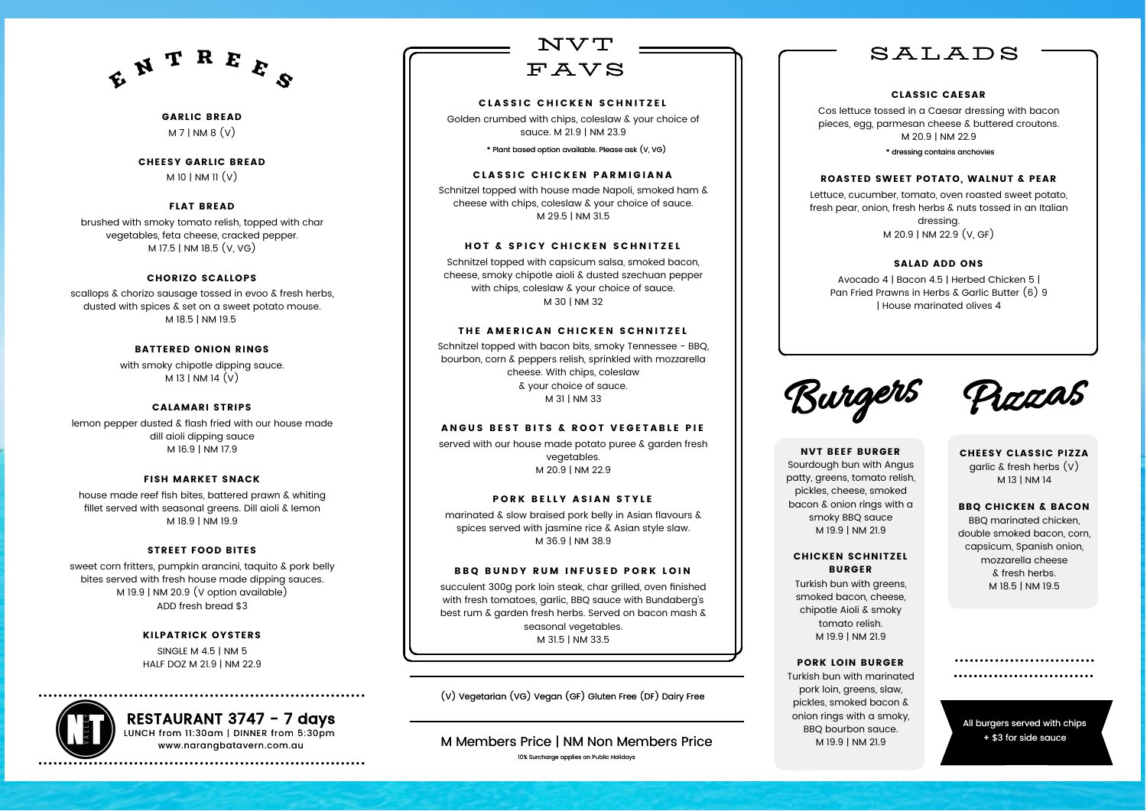Golden crumbed with chips, coleslaw & your choice of sauce. M 21.9 | NM 23.9

Schnitzel topped with house made Napoli, smoked ham & cheese with chips, coleslaw & your choice of sauce. M 29.5 | NM 31.5

#### HOT & SPICY CHICKEN SCHNITZEL

Schnitzel topped with capsicum salsa, smoked bacon, cheese, smoky chipotle aioli & dusted szechuan pepper with chips, coleslaw & your choice of sauce. M 30 | NM 32

#### THE AMERICAN CHICKEN SCHNITZEL

Schnitzel topped with bacon bits, smoky Tennessee - BBQ, bourbon, corn & peppers relish, sprinkled with mozzarella cheese. With chips, coleslaw & your choice of sauce. M 31 | NM 33

#### ANGUS BEST BITS & ROOT VEGETABLE PIE

GARLIC BREAD  $M 7$ | NM 8  $(V)$ 

> served with our house made potato puree & garden fresh vegetables. M 20.9 | NM 22.9

#### PORK BELLY ASIAN STYLE

with smoky chipotle dipping sauce.  $M$  13 | NM 14  $(V)$ 

> marinated & slow braised pork belly in Asian flavours & spices served with jasmine rice & Asian style slaw. M 36.9 | NM 38.9

#### BBQ BUNDY RUM INFUSED PORK LOIN

succulent 300g pork loin steak, char grilled, oven finished with fresh tomatoes, garlic, BBQ sauce with Bundaberg's best rum & garden fresh herbs. Served on bacon mash & seasonal vegetables. M 31.5 | NM 33.5



#### CLASSIC CHICKEN SCHNITZEL

(V) Vegetarian (VG) Vegan (GF) Gluten Free (DF) Dairy Free

\* Plant based option available. Please ask (V, VG)

#### **CLASSIC CHICKEN PARMIGIANA**

CHEESY GARLIC BREAD

M 10 | NM 11 $(v)$ 

#### FLAT BREAD

brushed with smoky tomato relish, topped with char vegetables, feta cheese, cracked pepper. M 17.5 | NM 18.5 (V, VG)

#### CHORIZO SCALLOPS

scallops & chorizo sausage tossed in evoo & fresh herbs, dusted with spices & set on a sweet potato mouse. M 18.5 | NM 19.5

#### BATTERED ONION RINGS

#### CALAMARI STRIPS

lemon pepper dusted & flash fried with our house made dill aioli dipping sauce M 16.9 | NM 17.9

#### FISH MARKET SNACK

house made reef fish bites, battered prawn & whiting fillet served with seasonal greens. Dill aioli & lemon M 18.9 | NM 19.9

#### STREET FOOD BITES

sweet corn fritters, pumpkin arancini, taquito & pork belly bites served with fresh house made dipping sauces. M 19.9 | NM 20.9 (V option available) ADD fresh bread \$3

#### KILPATRICK OYSTERS

SINGLE M 4.5 | NM 5 HALF DOZ M 21.9 | NM 22.9



All burgers served with chips + \$3 for side sauce

............................ 

M Members Price | NM Non Members Price 10% Surcharge applies on Public Holidays

NVT BEEF BURGER Sourdough bun with Angus patty, greens, tomato relish, pickles, cheese, smoked bacon & onion rings with a smoky BBQ sauce M 19.9 | NM 21.9

#### CHICKEN SCHNITZEL BURGER

Turkish bun with greens, smoked bacon, cheese, chipotle Aioli & smoky tomato relish. M 19.9 | NM 21.9

#### PORK LOIN BURGER

Turkish bun with marinated pork loin, greens, slaw, pickles, smoked bacon & onion rings with a smoky, BBQ bourbon sauce. M 19.9 | NM 21.9

CHEESY CLASSIC PIZZA garlic  $\&$  fresh herbs  $(V)$ M 13 | NM 14

#### BBQ CHICKEN & BACON

BBQ marinated chicken, double smoked bacon, corn, capsicum, Spanish onion, mozzarella cheese & fresh herbs. M 18.5 | NM 19.5

#### CLASSIC CAESAR

Cos lettuce tossed in a Caesar dressing with bacon pieces, egg, parmesan cheese & buttered croutons. M 20.9 | NM 22.9

#### ROASTED SWEET POTATO, WALNUT & PEAR



Lettuce, cucumber, tomato, oven roasted sweet potato, fresh pear, onion, fresh herbs & nuts tossed in an Italian dressing. M 20.9 | NM 22.9 (V, GF)

#### SALAD ADD ONS

Avocado 4 | Bacon 4.5 | Herbed Chicken 5 | Pan Fried Prawns in Herbs & Garlic Butter (6) 9 | House marinated olives 4



## SALADS

\* dressing contains anchovies